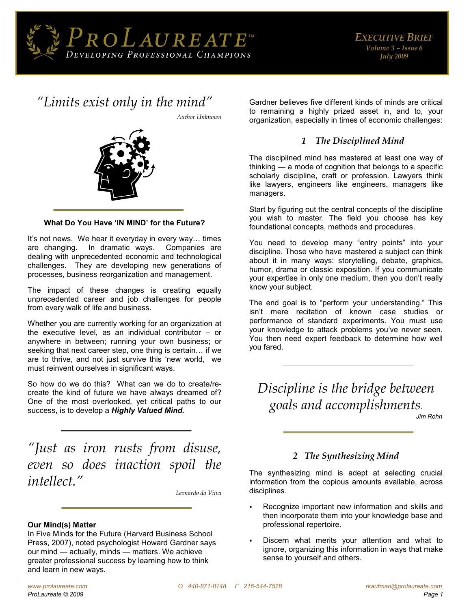

## *"[Limits exist only in the mind](http://thinkexist.com/quotation/limits_exist_only_in_the/170716.html)"*

*Author Unknown* 



#### **What Do You Have 'IN MIND' for the Future?**

It's not news. We hear it everyday in every way… times are changing. In dramatic ways. Companies are dealing with unprecedented economic and technological challenges. They are developing new generations of processes, business reorganization and management.

The impact of these changes is creating equally unprecedented career and job challenges for people from every walk of life and business.

Whether you are currently working for an organization at the executive level, as an individual contributor – or anywhere in between; running your own business; or seeking that next career step, one thing is certain… if we are to thrive, and not just survive this 'new world, we must reinvent ourselves in significant ways.

So how do we do this? What can we do to create/recreate the kind of future we have always dreamed of? One of the most overlooked, yet critical paths to our success, is to develop a *Highly Valued Mind.* 

*"[Just as iron rusts from disuse,](http://thinkexist.com/quotation/just_as_iron_rusts_from_disuse-even_so_does/14053.html)  [even so does inaction spoil the](http://thinkexist.com/quotation/just_as_iron_rusts_from_disuse-even_so_does/14053.html)  [intellect.](http://thinkexist.com/quotation/just_as_iron_rusts_from_disuse-even_so_does/14053.html)"*

*Leonardo da Vinci* 

#### **Our Mind(s) Matter**

In Five Minds for the Future (Harvard Business School Press, 2007), noted psychologist Howard Gardner says our mind — actually, minds — matters. We achieve greater professional success by learning how to think and learn in new ways.

Gardner believes five different kinds of minds are critical to remaining a highly prized asset in, and to, your organization, especially in times of economic challenges:

#### *1 The Disciplined Mind*

The disciplined mind has mastered at least one way of thinking — a mode of cognition that belongs to a specific scholarly discipline, craft or profession. Lawyers think like lawyers, engineers like engineers, managers like managers.

Start by figuring out the central concepts of the discipline you wish to master. The field you choose has key foundational concepts, methods and procedures.

You need to develop many "entry points" into your discipline. Those who have mastered a subject can think about it in many ways: storytelling, debate, graphics, humor, drama or classic exposition. If you communicate your expertise in only one medium, then you don't really know your subject.

The end goal is to "perform your understanding." This isn't mere recitation of known case studies or performance of standard experiments. You must use your knowledge to attack problems you've never seen. You then need expert feedback to determine how well you fared.

*Discipline is the bridge between goals and accomplishments*. *Jim Rohn* 

## *2 The Synthesizing Mind*

The synthesizing mind is adept at selecting crucial information from the copious amounts available, across disciplines.

- Recognize important new information and skills and then incorporate them into your knowledge base and professional repertoire.
- Discern what merits your attention and what to ignore, organizing this information in ways that make sense to yourself and others.